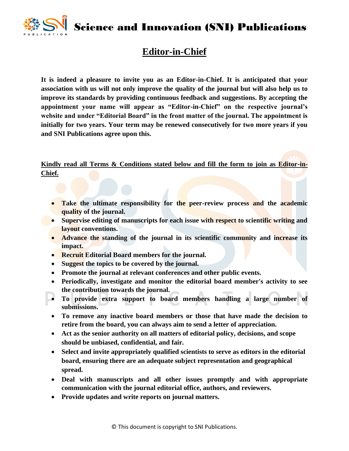Science and Innovation (SNI) Publications



## **Editor-in-Chief**

**It is indeed a pleasure to invite you as an Editor-in-Chief. It is anticipated that your association with us will not only improve the quality of the journal but will also help us to improve its standards by providing continuous feedback and suggestions. By accepting the appointment your name will appear as "Editor-in-Chief" on the respective journal's website and under "Editorial Board" in the front matter of the journal. The appointment is initially for two years. Your term may be renewed consecutively for two more years if you and SNI Publications agree upon this.**

**Kindly read all Terms & Conditions stated below and fill the form to join as Editor-in-Chief.**

- **Take the ultimate responsibility for the peer-review process and the academic quality of the journal.**
- **Supervise editing of manuscripts for each issue with respect to scientific writing and layout conventions.**
- **Advance the standing of the journal in its scientific community and increase its impact.**
- **Recruit Editorial Board members for the journal.**
- **Suggest the topics to be covered by the journal.**
- **Promote the journal at relevant conferences and other public events.**
- **Periodically, investigate and monitor the editorial board member's activity to see the contribution towards the journal.**
- **To provide extra support to board members handling a large number of submissions.**
- **To remove any inactive board members or those that have made the decision to retire from the board, you can always aim to send a letter of appreciation.**
- **Act as the senior authority on all matters of editorial policy, decisions, and scope should be unbiased, confidential, and fair.**
- **Select and invite appropriately qualified scientists to serve as editors in the editorial board, ensuring there are an adequate subject representation and geographical spread.**
- **Deal with manuscripts and all other issues promptly and with appropriate communication with the journal editorial office, authors, and reviewers.**
- **Provide updates and write reports on journal matters.**